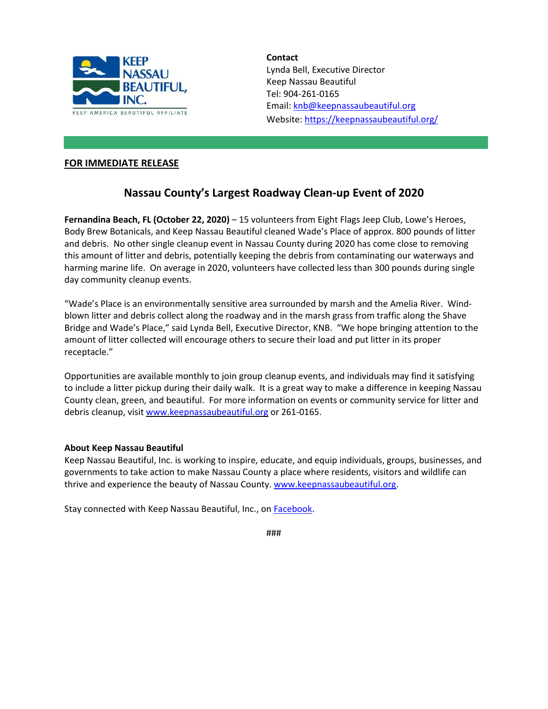

**Contact** Lynda Bell, Executive Director Keep Nassau Beautiful Tel: 904-261-0165 Email: [knb@keepnassaubeautiful.org](mailto:knb@keepnassaubeautiful.org) Website:<https://keepnassaubeautiful.org/>

## **FOR IMMEDIATE RELEASE**

## **Nassau County's Largest Roadway Clean-up Event of 2020**

**Fernandina Beach, FL (October 22, 2020)** – 15 volunteers from Eight Flags Jeep Club, Lowe's Heroes, Body Brew Botanicals, and Keep Nassau Beautiful cleaned Wade's Place of approx. 800 pounds of litter and debris. No other single cleanup event in Nassau County during 2020 has come close to removing this amount of litter and debris, potentially keeping the debris from contaminating our waterways and harming marine life. On average in 2020, volunteers have collected less than 300 pounds during single day community cleanup events.

"Wade's Place is an environmentally sensitive area surrounded by marsh and the Amelia River. Windblown litter and debris collect along the roadway and in the marsh grass from traffic along the Shave Bridge and Wade's Place," said Lynda Bell, Executive Director, KNB. "We hope bringing attention to the amount of litter collected will encourage others to secure their load and put litter in its proper receptacle."

Opportunities are available monthly to join group cleanup events, and individuals may find it satisfying to include a litter pickup during their daily walk. It is a great way to make a difference in keeping Nassau County clean, green, and beautiful. For more information on events or community service for litter and debris cleanup, visit [www.keepnassaubeautiful.org](http://www.keepnassaubeautiful.org/) or 261-0165.

## **About Keep Nassau Beautiful**

Keep Nassau Beautiful, Inc. is working to inspire, educate, and equip individuals, groups, businesses, and governments to take action to make Nassau County a place where residents, visitors and wildlife can thrive and experience the beauty of Nassau County. [www.keepnassaubeautiful.org.](http://www.keepnassaubeautiful.org/)

Stay connected with Keep Nassau Beautiful, Inc., on **Facebook**.

###